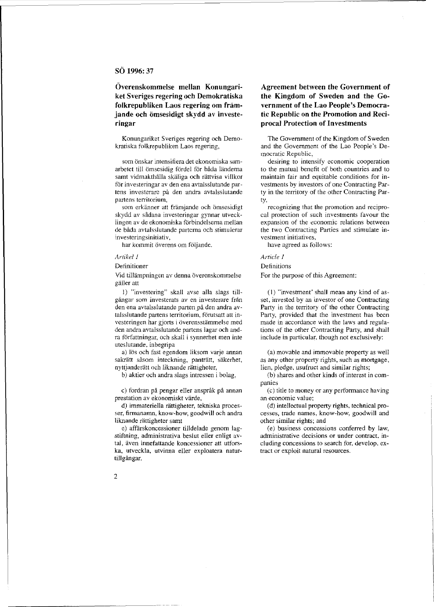# **SO 1996: 37**

**Overenskommelse mellan Konungariket Sveriges regering och Demokratiska folkrepubliken Laos regering om framjande och omsesidigt skydd av investeringar** 

Konungariket Sveriges regering och Demokratiska folkrepubliken Laos regering,

som önskar intensifiera det ekonomiska samarbetet till ömsesidig fördel för båda ländema samt vidmakthålla skäliga och rättvisa villkor för investeringar av den ena avtalsslutande partens investerare på den andra avtalsslutande partens territorium,

som erkänner att främjande och ömsesidigt skydd av sådana investeringar gynnar utvecklingen av de ekonomiska förbindelserna mellan de båda avtalsslutande parterna och stimulerar **investeringsinitiativ,** 

har kommit överens om följande.

#### *Artikel 1*

Definitioner

Vid tillämpningen av denna överenskommelse giiller alt

1) "investering" skall avse alia slags tillgångar som investerats av en investerare från den ena avtalsslutande parten på den andra avtalsslutande partens territorium, förutsatt att investeringen har gjorts i överensstämmelse med den andra avtalsslutande partens lagar och andra författningar, och skall i synnerhet men inte uteslutande, inbegripa

a) lös och fast egendom liksom varje annan sakrätt såsom inteckning, panträtt, säkerhet, nyttjanderätt och liknande rättigheter,

b) aktier oeh andra slags intressen i bolag,

c) fordran på pengar eller anspråk på annan prestation av ekonomiskt värde,

d) immateriella rattigheter, tekniska processer, firmanamn, know-how, goodwill och andra liknande rättigheter samt

e) affarskoncessioner tiildelade genom lagstiftning, administrativa beslut eller enligt avtal, aven innefattande koncessioner att utforska, utveckla, utvinna eller exploatera naturtillgångar,

# **Agreement between the Government of the Kingdom of Sweden and the Government of the Lao People's Democratic Republic on the Promotion and Reciprocal Protection of Investments**

The Government of the Kingdom of Sweden and the Government of the Lao People's Democratic Republic,

desiring to intensify economic cooperation to the mutual benefit of both countries and to maintain fair and equitable conditions for investments by investors of one Contracting Party in the territory of the other Contracting Party,

recognizing that the promotion and reciprocal protection of such investments favour the expansion of the economic relations between the two Contracting Parties and stimulate investment initiatives,

have agreed as follows:

#### *Article* J

Definitions

For the purpose of this Agreement:

(I) "investment' shall mean any kind of asset, invested by an investor of one Contracting Party in the territory of the other Contracting Party, provided that the investment has been made in accordance with the laws and regulations of the other Contracting Party, and shall include in particular, though not exclusively:

(a) movable and immovable property as well as any other property rights, such as mortgage, lien, pledge, usufruct and similar rights;

(b) shares and other kinds of interest in companies

(el title to money or any performance having **an economic value;** 

(d) intellectual property rights, technical processes, trade names, know-how, goodwill and other similar rights; and

(e) business concessions conferred by law, administrative decisions or under contract, including concessions to search for, develop, extract or exploit natural resources.

2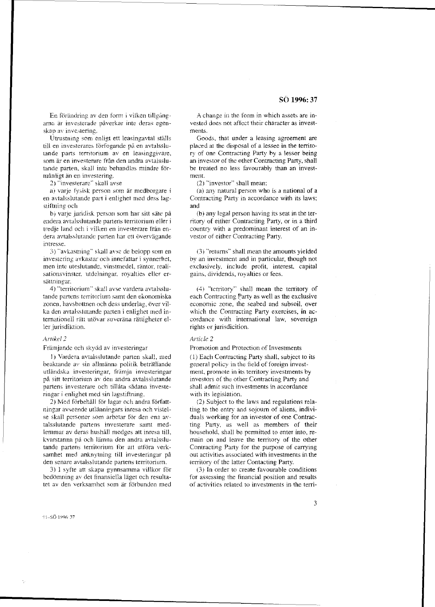En förändring av den form i vilken tillgångarna är investerade påverkar inte deras egenskap av investering.

Utrustning som enligt ett leasingavtal ställs till en investerares förfogande på en avtalsslutande parts territorium av en leasinggivare, som är en investerare från den andra avtalsslutande parten, skall intc behandlas mindre formånligt an en investering.

2) "investerarc" skall avse

a) varje fysisk person som är medborgare i en aVlalsslutande part i enlighet med dess lag stiftning och

b) varje juridisk person som har sitt säte på endera avtalsslutande partens territorium eller i tredje land oeh i vilken en investerare fran endera avtalsslutande parten har ett övervägande intresse.

:)) "avkastning" skall avse de belopp som en inveslcring avkastar oeb innefattar i synnerhel, men inte uteslutande, vinstmedel, räntor, realisationsvinster. utdelningar. royalties eller ersättningar.

4) "territorium" skall avse vardera avtalsslutande partens territorium samt den ekonomiska zonen, havsbottnen och dess underlag, över vilka den avtalss1utande parten i enlighet med internationell rätt utövar suveräna rättigheter eller jurisdiktion.

## *ltrllkel 2*

Främjande och skydd av investeringar

I) Vardera avtalsslutande parten skall, med beaktande av sin allmänna politik beträffande utländska investeringar, främja investeringar pa sitt territoriurn av den andra avtalsslutande partens investerare oeh tillata sadana investeringar i enlighet med sin lagstiftning.

2) Med förbehåll för lagar och andra författningar avseende utlanningars inresa och vislelse skall personer som arbetar för den ena avtalsslutande partens investerare samt medlemmar av deras hushåll medges att inresa till, kvarstanna på och lämna den andra avtalsslutande partens territorium för att utföra verksamhet med anknytning till investeringar på den senare avtalsslutande partens territorium.

3) I syfte att skapa gynnsamma villkor för bedömning av det finansiella läget och resultatet av den verksamhet som är förbunden med

A change in the form in which assets are invested does not affect their character as investments.

Goods, that under a leasing agreement are placed at the disposal of a lessee in the territory of one Contracting Party by a lessor being an investor of the other Contracting Party, shall be treated no less favourably than an investment.

(2) "investor" shall mean:

(a) any natural person who is a national of a Contracting Party in accordance with its laws; and

(b) any legal person having its seat in the territory of either Contracting Party, or in a third country with a predominant interest of an investor of either Contracting Party.

(3) "returns" shall mean the amounts yielded by an investment and in particular, though not exclusively, include profit, interest. capital gains, dividends, royalties or fees.

(4) "territory" shall mean the territory of each Contracting Party as well as the exclusive economic zone, the seabed and subsoil, over which the Contracting Party exercises, in accordance with international law, sovereign rights or jurisdicition.

#### *Article 2*

Promotion and Protection of Investments

(1) Each Contracting Party shall, subject to its general policy in the field of foreign investment. promote in its territory investments by investors of the other Contracting Party and shall admit such investments in accordance with its legislation.

(2) Subject to the laws and regulations relating to the entry and sojourn of aliens, individuals working for an investor of one Contracting Party, as well as members of their household, shall be permitted to enter into, remain on and leave the territory of the other Contracting Party for the purpose of carrying out activities associated with investments in the territory of the latter Contacting Party.

(3) In order to create favourable conditions for assessing the financial position and results of activities related to investments in the terri-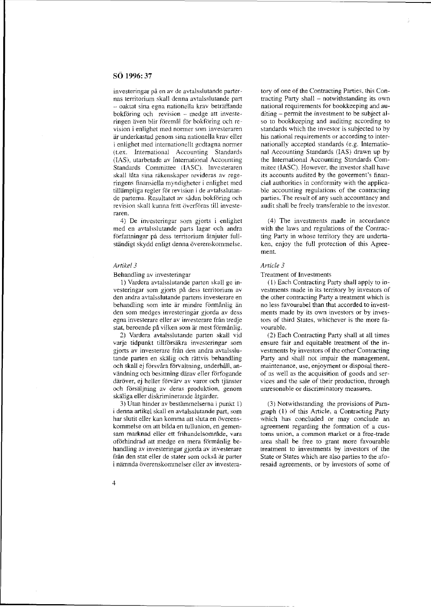# **SO 1996: 37**

investeringar pa en av de avtalsslutande parternas territorium skall denna avtalsslutande part - oaktat sina egna nationella krav betraffande bokföring och revision - medge att investeringen även blir föremål för bokföring och revision i enlighet med normer som investeraren ar underkastad genom sina nationella krav eller i enlighet med internationellt godtagna normer (Lex. International Accounting Standards (lAS). utarbetade av International Accounting Standards Committee (lASC). Investeraren skall lata sina rakenskaper revideras av regeringens finansiella myndigheter i enlighet med tillämpliga regler för revision i de avtalsslutande parterna. Resultatet av sådan bokföring och revision skall kunna fritt överföras till investeraren.

4) De investeringar som gjorts i enlighet med en avtalsslutande parts lagar och andra författningar på dess territorium åtnjuter fullständigt skydd enligt denna överenskommelse.

## *Artikel3*

#### Behandling av investeringar

I) Vardera avtalsslutande parten skall ge investeringar som gjorts pa dess territorium av den andra avtalsslutande partens investerare en behandling som inte är mindre förmånlig än den som medges investeringar gjorda av dess egna investerare eller av investerare från tredje stat, beroende på vilken som är mest förmånlig.

2) Vardera avtalsslutande parten skall vid varje tidpunkt tillförsäkra investeringar som gjorts av investerare fran den andra avtalsslutande parten en skälig och rättvis behandling och skall ej försvåra förvaltning, underhåll, användning och besittning därav eller förfogande däröver, ej heller förvärv av varor och tjänster och försäljning av deras produktion, genom skäliga eller diskriminerande åtgärder.

3) Utan hinder av bestammelserna i punkt I) i denna artikel skall en avtalsslutande part, som har slutit eller kan komma att sluta en överenskommelse om att bilda en tullunion, en gemensam marknad eller ett frihandelsområde, vara oförhindrad att medge en mera förmånlig behandling av investeringar gjorda av investerare fran den stat eller de stater som ocksa ar parter i nämnda överenskommelser eller av investera-

tory of one of the Contracting Parties. this Contracting Party shall - notwithstanding its own national requirements for bookkeeping and auditing – permit the investment to be subject also to bookkeeping and auditing according to standards which the investor is subjected to by his national requirements or according to internationally accepted standards (e.g. International Accounting Standards (lAS) drawn up by the International Accounting Standards Commitee (IASC). However, the investor shall have its accounts audited by the goverment's financial authorities in conformity with the applicable accounting regulations of the contracting parties. The result of any such accountancy and audit shall be freely transferable to the investor.

(4) The investments made in accordance with the laws and regulations of the Contracting Party in whose territory they are undertaken, enjoy the full protection of this Agreement.

# *Article 3*

#### Treatment of Investments

(I) Each Contracting Party shall apply to investments made in its territory by investors of the other contracting Party a treatment which is no less favourabel than that accorded to investments made by its own investors or by investors of third States, whichever is the more favourable.

(2) Each Contracting Party shall at all times ensure fair and equitable treatment of the investments by investors of the other Contracting Party and shall not impair the management, maintenance. use, enjoyment or disposal thereof as well as the acquisition of goods and services and the sale of their production, through unresonable or discriminatory measures.

(3) Notwithstanding the provisions of Paragraph (1) of this Article, a Contracting Party which has concluded or may conclude an agreement regarding the formation of a customs union, a common market or a free-trade area shall be free to grant more favourable treatment to investments by investors of the State or States which are also parties to the aforesaid agreements, or by investors of some of

4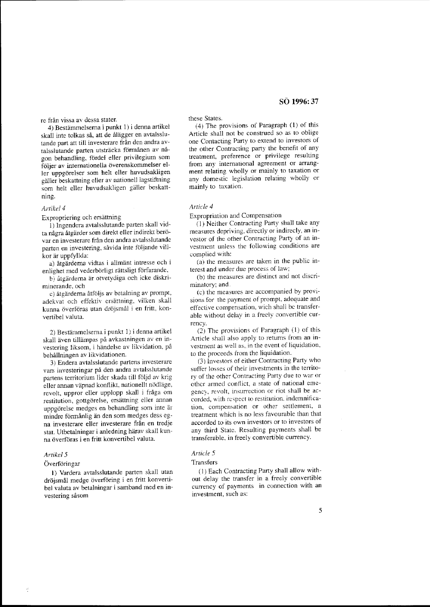re från vissa av dessa stater.

4) Bestämmelserna i punkt 1) i denna artikel skall inte tolkas så, att de ålägger en avtalsslutande part att till investerare från den andra avtalsslutande parten utsträcka förmånen av någon behandling, fördel eller privilegium som följer av internationella överenskommelser eller uppgorelser som helt eller huvudsakligen gäller beskattning eller av nationell lagstiftning som helt eller huvudsakligen galler beskattning.

#### *Artikel4*

Expropriering och ersattning

1) Ingendera avtalsslutande parten skall vidta några åtgärder som direkt eller indirekt berövar en investerare fran den andra avtalsslutande parten en investering, såvida inte följande villkor ar uppfyllda:

a) åtgärderna vidtas i allmänt intresse och i enlighet med vederbörligt rättsligt förfarande.

b) åtgärderna är otvetydiga och icke diskriminerande, och

c) åtgärderna åtföljs av betalning av prompt, adekvat och effektiv ersattning, vilken skall kunna överföras utan dröjsmål i en fritt, konvertibel valuta.

2) Bestammelsema i punkt I) i denna artikel skall aven tillampas pa avkastningen av en investering liksom, i händelse av likvidation, på behallningen av likvidationen.

3) Endera avtalsslutande partens investerare vars investeringar på den andra avtalsslutande partens territorium lider skada till fbljd av krig eller annan väpnad konflikt, nationellt nödläge, revolt, uppror eller upplopp skall i fraga om restitution, gottgörelse, ersättning eller annan uppgörelse medges en behandling som inte är mindre förmånlig än den som medges dess egna investerare eller investerare fran en tredje stat. Utbetalningar i anledning härav skall kunna överföras i en fritt konvertibel valuta.

#### *Artikel5*

## Överföringar

I) Vardera avtalsslutande parten skall utan dröismål medge överföring i en fritt konvertibel valuta av betalningar i samband med en investering såsom

these States.

(4) The provisions of Paragraph (1) of this Article shall not be construed so as to oblige one Contacting Party to extend to investors of the other Contracting party the benefit of any treatment, preference or privilege resulting from any international agreement or arrangment relating wholly or mainly to taxation or any domestic legislation relating wholly or mainly to taxation.

# *Article 4*

Expropriation and Compensation

(I) Neither Contracting Party shall take any measures depriving. directly or indirecly, an investor of the other Contracting Party of an investment unless the following conditions are complied with:

 $(a)$  the measures are taken in the public interest and under due process of law:

(b) the measures are distinct and not discriminatory; and.

(e) the measures are accompanied by provisions for the payment of prompt. adequate and effective compensation, wich shall bc transferable without delay in a freely convertible currency.

(2) The provisions of Paragraph (1) of this Article shall also apply to returns from an investment as well as, in the event of liquidation, to the proceeds from the liquidation.

(3) Investors of either Contracting Party who suffer losses of their investments in the territory of the other Contracting Party due to war or other armed conflict. a state of national emegency, revolt, insurrection or riot shall be accorded, with respect to restitution. indemnification, compensation or other settlement, a treatment which is no less favourable than that accorded to its own investors or to investors of any third State. Resulting payments shall be transferable, in freely convertible currency.

#### *Article 5*

#### Transfers

(1) Each Contracting Party shall allow without delay the transfer in a freely convertible currency of payments in connection with an investment, such as: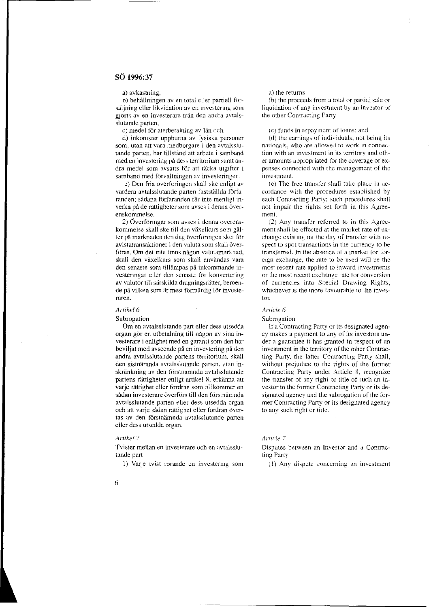**a) avkastning,** 

b) behållningen av en total eller partiell försäljning eller likvidation av en investering som gjorts av en investerare från den andra avtalsslutande parten,

c) medel för återbetalning av lån och

d) inkomster uppburna av fysiska personer som, utan att vara medborgare i den avtalsslutande parten, har tillstånd att arbeta i samband med en investering på dess territorium samt andra medel som avsatts för att täcka utgifter i samband med förvaltningen av investeringen,

e) Den fria overforingen skall ske enligt av vardera avtalsslutande parten fastställda förfaranden; sådana förfaranden får inte menligt inverka på de rättigheter som avses i denna överenskommelse.

2) Overforingar som avses i denna overenskommelse skall ske till den växelkurs som gäller på marknaden den dag överföringen sker för avistatransaktioner i den valuta som skall överföras. Om det inte finns någon valutamarknad, skall den växelkurs som skall användas vara den senaste som tillämpas på inkommande investeringar eller den senaste for konvertering av valutor till särskilda dragningsrätter, beroende på vilken som är mest förmånlig för investe**raren.** 

#### *Artikef6*

Subrogation

Om en avtalsslutande part eller dess utsedda organ gör en utbetalning till någon av sina investerare i enlighet med en garanti som den har beviljat med avseende på en investering på den andra avtalsslutande partens tenitorium, skall den sistnämnda avtalsslutande parten, utan inskränkning av den förstnämnda avtalsslutande partens rättigheter enligt artikel 8, erkänna att varje rättighet eller fordran som tillkommer en sådan investerare överförs till den förstnämnda avtalsslutande parten eller dess utsedda organ och att varje sådan rättighet eller fordran övertas av den förstnämnda avtalsslutande parten eller dess utsedda organ.

#### *Artikef 7*

Tvister mellan en investerare och en avtalsslutande part

1) Varje tvist rörande en investering som

#### a) the returns

(b) the proceeds from a total or partial sale or liquidation of any investment by an investor of the other Contracting Party

#### $(c)$  funds in repayment of loans; and

(d) the earnings of individuals, not being its nationals. who are allowed to work in connection with an investment in its territory and other amounts appropriated for the coverage of expenses connected with the management of the investment.

(e) The free transfer shall take place in accordance with the procedures established by each Contracting Party; such procedures shall not impair the rights set forth in this Agree**ment.** 

(2) Any transfer referred to in this Agreement shall be effected at the market rate of exchange existing on the day of transfer with respect to spot transactions in the currency to be transferred. In the absence of a market for foreign exchange, the rate to be used will be the most recent rale applied to inward investments or the most recent exchange rate for conversion of cunencies into Special Drawing Rights, whichever is the more favourable to the investor.

### *Article 6*

Subrogation

If a Contracting Party Or its designated agency makes a payment to any of its investors under a guarantee it has granted in respect of an investment in the territory of the other Contracting Party, the latter Contracting Party shall, without prejudice to the rights of the former Contracting Party under Article 8. recognize the transfer of any right or title of such an investor to the former Contracting Party or its designated agency and the subrogation of the former Contracting Pany or its designated agency to any such right Or title.

#### *Article 7*

Dispules between an Investor and a Contracting Party

 $\left( 1 \right)$  Any dispute concerning an investment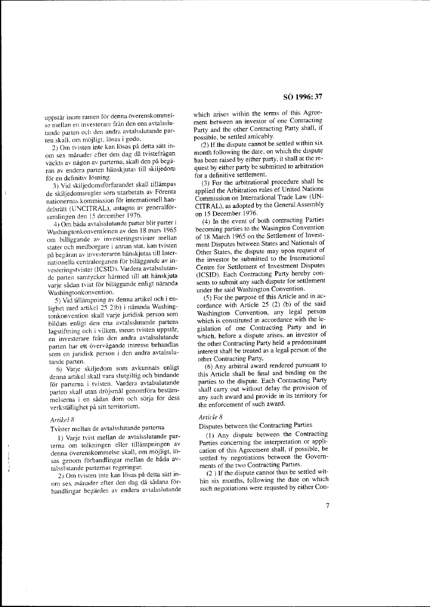uppstår inom ramen för denna överenskommelse mellan en investerare från den ena avtalsslutande parten oel: den andra avtalsslutande par**ten skalJ, om n1c)jligl, Ibsas i goda.** 

2) Om tvisten inte kan lösas på detta sätt inom sex månader efter den dag då tvistefrågan väckts av någon av parterna, skall den på begäran av endera panen hanskjutas till skiljedom för en definitiv lösning.

3) Vid skiljedomsförfarandet skall tillämpas de skiljedomsregler som utarbetats av Forenta nationernas kommission for internationell handelsrätt (UNCITRAL), antagna av generalförsamlingen den 15 december 1976.

4) Om bada avtalsslutande parter blir parter i Washingtonkonventionen av den 18 mars 1965 om biliiggande av investeringstvister mellan stater och medborgare i annan stat. kan tvisten på begäran av investeraren hänskjutas till Internationella centralorganen för biläggande av investeringstvister (ICSID). Vardera avtalsslutande parten samtycker harmed till att hanskjuta varje sådan tvist för biläggande enligt nämnda Washingtonkonvention.

5) Vid tillämpning av denna artikel och i enlighet med artikel 25 2)b) i nämnda Washingtonkonvention skall varje juridisk person som bildats enligt den ena avtalsslutande partens lagstiftning och i vilken, innan tvisten uppstår, en investerare från den andra avtalsslutande parten har ett övervägande intresse behandlas som en juridisk person i den andra avtalsslutande parten.

6) Varje skiljedom som avkunnats enligt denna artikel skall vara slutgiltig och bindande for parterna i tvisten. Yardera avtalsslutande parten skall utan dröjsmål genomföra bestämmelserna i en sådan dom och sörja för dess verkstiillighet pa sitt territorium.

## *Artikel8*

Tvister mellan de avtalsslutande partema

I) Varje tvist mellan de avtalsslutande parterna om tolkningen eller tillampningen av denna överenskommelse skall, om möjligt, lösas genom förhandlingar mellan de båda avtalsslutande parternas regeringar.

2) Om tvisten inte kan lösas på detta sätt inom sex månader efter den dag då sådana förhandlingar begärdes av endera avtalsslutande which arises within the terms of this Agreement between an investor of one Contracting Party and the other Contracting Party shall, if possible, be settled amicably.

(2) If the dispute cannot be settled within six month following the date, on which the dispute has been raised by either party. it shall at the request by either party be submitted to arbitration for a definitive settlement.

(3) For the arbitrational procedure shall be applied the Arbitration rules of United Nations Commission on International Trade Law (UN-CITRAL), as adopted by the General Assembly on 15 December 1976.

(4) In the event of both contracting Parties becoming parties to the Wasington Convention of 18 March 1965 on the Settlement of Investment Disputes between States and Nationals of Other States, the dispute may upon request of the investor be submitted to the International Centre for Settlement of Investment Disputes (lCSID). Each Contracting Party hereby consents to submit any such dispute for settlement under the said Washington Convention.

(5) For the purpose of this Article and in accordance with Article 25 (2) (b) of the said Washington Convention, any legal person which is constituted in accordance with the legislation of one Contracting Party and in which. before a dispute arises. an investor of the other Contracting Party held a predominant interest shall be treated as a legal person of the other Contracting Party.

(6) Any arbitral award rendered pursuant to this Article shall be final and binding on the parties to the dispute. Each Contracting Party shall carry out without delay the provision of any such award and provide in its territory for the enforcement of such award.

# *Article 8*

Disputes between the Contracting Parties

(1) Any dispute between the Contracting Parties concerning the interpretation or application of this Agreement shall, if possible, be settled by negotiations between the Governments of the two Contracting Parties.

(2 ) If the dispute cannot thus be settled within six months, following the date on which such negotiations were requsted by either Con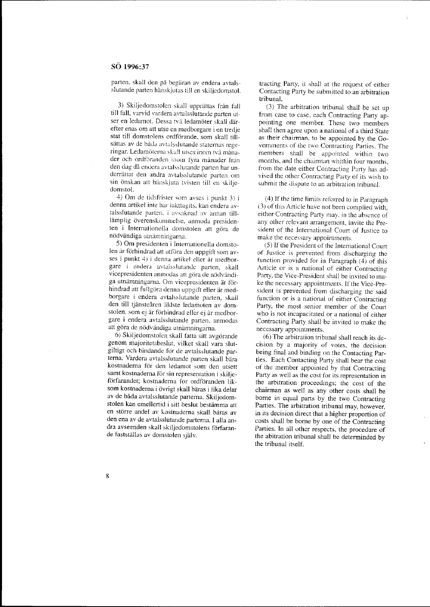parten, skall den på begäran av endera avtalsslutande parten hänskjutas till en skiljedomstol.

3) Skiljedomstolen skall upprättas från fall till fall, varvid vardera avtalsslutandc parten utser en ledamot. Dessa två ledamöter skall därefter enas om att utse en medborgare i en tredje stat till domstolens ordförande, som skall tillsättas av de båda avtalsslutande staternas regeringar, Ledamöterna skall utses inom två månader och ordföranden inom fyra månader från den dag då endera avtalsslurande parten har underrättat den andra avtalsslutande parten om sin önskan att hänskjuta tvisten till en skiljedomstol.

4) Om de tidsfrister som avses i punkt 3) i denna artikel inte har iakttagits, kan endera avtalsslutande parten, i avsaknad av annan tilllämplig överenskommelse, anmoda presidenten i Internationella domstolen att göra de nödvändiga utnämningarna.

5) Om presidenten i Internationella domstolen är förhindrad att utföra den uppgift som avses i punkt  $4$ ) i denna artikel eller är medborgare i endera avtalsslutande parten, skall vicepresidenten anınodas att göra de nödvändiga utnämningarna. Om vicepresidenten är förhindrad att fullgöra denna uppgift eller är medborgare i endera avtalsslutande parten, skall den till tjänsteåren äldste ledamoten av domstolen, som ej är förhindrad eller ej är medborgare i endera avtalsslutande parten, anmodas att göra de nödvändiga utnämningarna.

6) Skiljedomstolen skall fatta sitt avgörande genom majoritetsbeslut. vilket skall vara slutgiltigt och bindande för de avtalsslutande partema, Vardera avtalsslutande parten skall bara kostnaderna för den ledamot som den utsett samt kostnaderna för sin representation i skiljeförfarandet; kostnaderna for ordföranden liksom kostnaderna i övrigt skall bäras i lika delar av de båda avtalsslutande parterna. Skiljedomstolen kan emellertid i sitt beslut bestämma att en större andel av kostnaderna skall bäras av den ena av de avtalsslutande parterna. I alia andra avseenden skall skiljedomstolens förfarande fastställas av domstolen själv.

tracting Party, it shall at the request of either Contacting Party be submitted to an arbitration tribunal.

(3) The arbitration tribunal shall be set up from case to case, each Contracting Party appointing one member, These two members shall then agree upon a national of a third State as their chairman, to be appointed by the Governments of the two Contracting Parties, The members shall be appointed within two months, and the chairman whithin four months, from the date either Contracting Party has advised the other Contracting Party of its wish to submit the dispute to an arbitrarion tribunal,

(4) If the time limits referred to in Paragraph (3) of this Article have not been complied with, either Contracting Party may, in the absence of any other relevant arrangement, invite the President of the International Court of Justice to make the necessary appointments.

(5) If the President of the Intemational Court of Justice is prevented from discharging the function provided for in Paragraph  $(4)$  of this **Article or is a national of either Contracting**  Party, the Vice-President shall be invited to make the necessary appointments, If the Vice-President is prevented from discharging the said function or is a national of either Contracting Party, the most senior member of the Court who is not incapacitated or a national of either Contracting Party shall be invited to make the necessary appointments.

(6) The arbitration tribunal shall reach its decision by a majority of votes, the decision being final and binding on the Contacting Parties. Each Contacting Party shall bear the cost of the member appointed by that Contracting Party as well as the cost for its representation in the arbitration proceedings; the cost of the chairman as well as any other costs shall be borne in equal parts by the two Contracting Parties, The arbitration tribunal may, however, in its decision direct that a higher proportion of costs shall be borne by one of the Contracting Parties, **In** all other respects, the procedure of the abitration tribunal shall be determinded by the tribunal itself

8